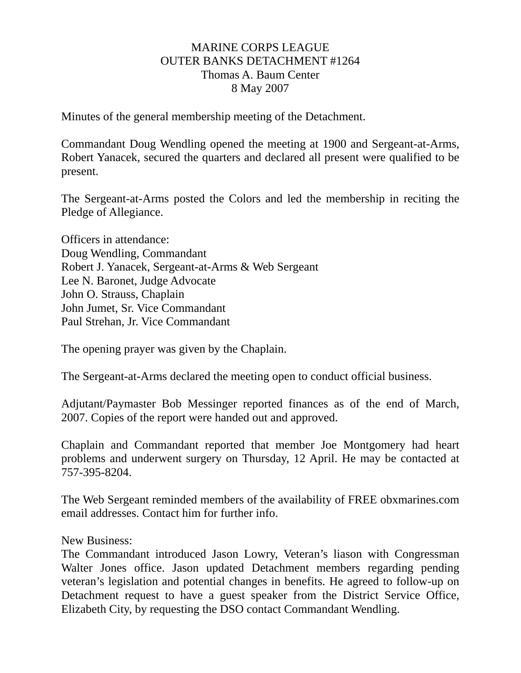## MARINE CORPS LEAGUE OUTER BANKS DETACHMENT #1264 Thomas A. Baum Center 8 May 2007

Minutes of the general membership meeting of the Detachment.

Commandant Doug Wendling opened the meeting at 1900 and Sergeant-at-Arms, Robert Yanacek, secured the quarters and declared all present were qualified to be present.

The Sergeant-at-Arms posted the Colors and led the membership in reciting the Pledge of Allegiance.

Officers in attendance: Doug Wendling, Commandant Robert J. Yanacek, Sergeant-at-Arms & Web Sergeant Lee N. Baronet, Judge Advocate John O. Strauss, Chaplain John Jumet, Sr. Vice Commandant Paul Strehan, Jr. Vice Commandant

The opening prayer was given by the Chaplain.

The Sergeant-at-Arms declared the meeting open to conduct official business.

Adjutant/Paymaster Bob Messinger reported finances as of the end of March, 2007. Copies of the report were handed out and approved.

Chaplain and Commandant reported that member Joe Montgomery had heart problems and underwent surgery on Thursday, 12 April. He may be contacted at 757-395-8204.

The Web Sergeant reminded members of the availability of FREE obxmarines.com email addresses. Contact him for further info.

New Business:

The Commandant introduced Jason Lowry, Veteran's liason with Congressman Walter Jones office. Jason updated Detachment members regarding pending veteran's legislation and potential changes in benefits. He agreed to follow-up on Detachment request to have a guest speaker from the District Service Office, Elizabeth City, by requesting the DSO contact Commandant Wendling.